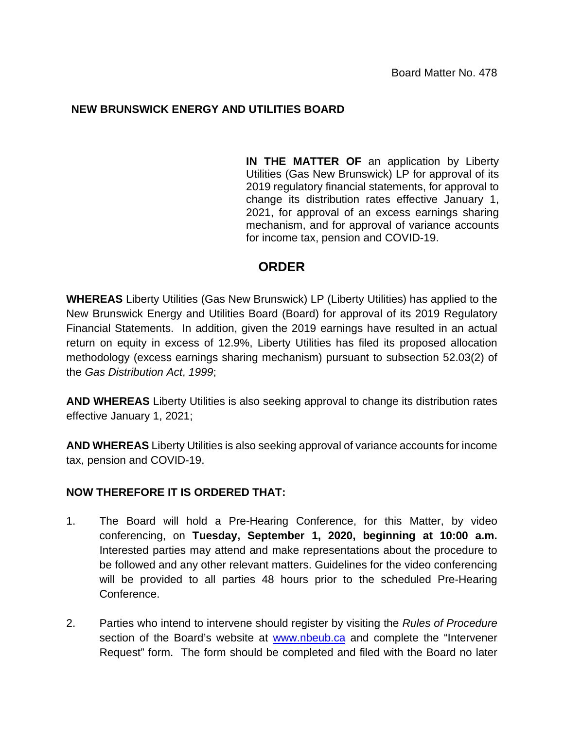## **NEW BRUNSWICK ENERGY AND UTILITIES BOARD**

**IN THE MATTER OF** an application by Liberty Utilities (Gas New Brunswick) LP for approval of its 2019 regulatory financial statements, for approval to change its distribution rates effective January 1, 2021, for approval of an excess earnings sharing mechanism, and for approval of variance accounts for income tax, pension and COVID-19.

## **ORDER**

**WHEREAS** Liberty Utilities (Gas New Brunswick) LP (Liberty Utilities) has applied to the New Brunswick Energy and Utilities Board (Board) for approval of its 2019 Regulatory Financial Statements. In addition, given the 2019 earnings have resulted in an actual return on equity in excess of 12.9%, Liberty Utilities has filed its proposed allocation methodology (excess earnings sharing mechanism) pursuant to subsection 52.03(2) of the *Gas Distribution Act*, *1999*;

**AND WHEREAS** Liberty Utilities is also seeking approval to change its distribution rates effective January 1, 2021;

**AND WHEREAS** Liberty Utilities is also seeking approval of variance accounts for income tax, pension and COVID-19.

## **NOW THEREFORE IT IS ORDERED THAT:**

- 1. The Board will hold a Pre-Hearing Conference, for this Matter, by video conferencing, on **Tuesday, September 1, 2020, beginning at 10:00 a.m.** Interested parties may attend and make representations about the procedure to be followed and any other relevant matters. Guidelines for the video conferencing will be provided to all parties 48 hours prior to the scheduled Pre-Hearing Conference.
- 2. Parties who intend to intervene should register by visiting the *Rules of Procedure*  section of the Board's website at [www.nbeub.ca](http://www.nbeub.ca/) and complete the "Intervener Request" form. The form should be completed and filed with the Board no later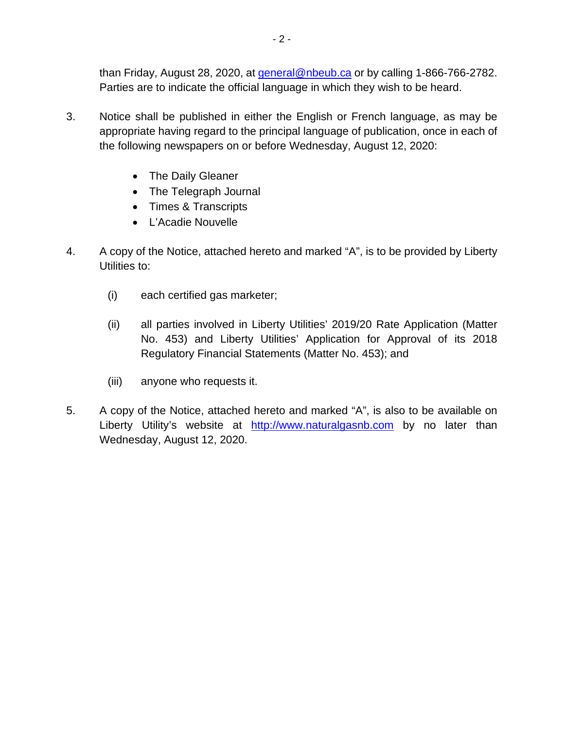than Friday, August 28, 2020, at [general@nbeub.ca](mailto:general@nbeub.ca) or by calling 1-866-766-2782. Parties are to indicate the official language in which they wish to be heard.

- 3. Notice shall be published in either the English or French language, as may be appropriate having regard to the principal language of publication, once in each of the following newspapers on or before Wednesday, August 12, 2020:
	- The Daily Gleaner
	- The Telegraph Journal
	- Times & Transcripts
	- L'Acadie Nouvelle
- 4. A copy of the Notice, attached hereto and marked "A", is to be provided by Liberty Utilities to:
	- (i) each certified gas marketer;
	- (ii) all parties involved in Liberty Utilities' 2019/20 Rate Application (Matter No. 453) and Liberty Utilities' Application for Approval of its 2018 Regulatory Financial Statements (Matter No. 453); and
	- (iii) anyone who requests it.
- 5. A copy of the Notice, attached hereto and marked "A", is also to be available on Liberty Utility's website at [http://www.naturalgasnb.com](http://www.naturalgasnb.com/) by no later than Wednesday, August 12, 2020.